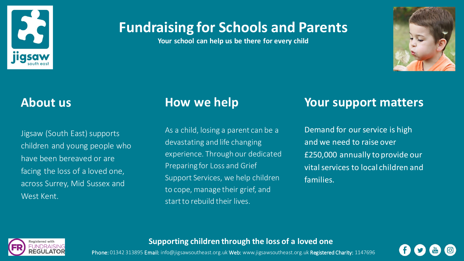

# **Fundraising for Schools and Parents**

**Your school can help us be there for every child**



Jigsaw (South East) supports children and young people who have been bereaved or are facing the loss of a loved one, across Surrey, Mid Sussex and West Kent.

As a child, losing a parent can be a devastating and life changing experience. Through our dedicated Preparing for Loss and Grief Support Services, we help children to cope, manage their grief, and start to rebuild their lives.

## **About us How we help Your support matters**

Demand for our service is high and we need to raise over £250,000 annually to provide our vital services to local children and families.



## **Supporting children through the loss of a loved one**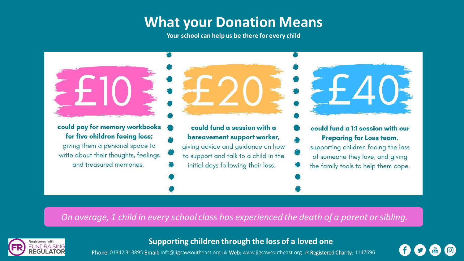## **What your Donation Means**

**Your school can help us be there for every child**



*On average, 1 child in every school class has experienced the death of a parent or sibling.*



**Supporting children through the loss of a loved one**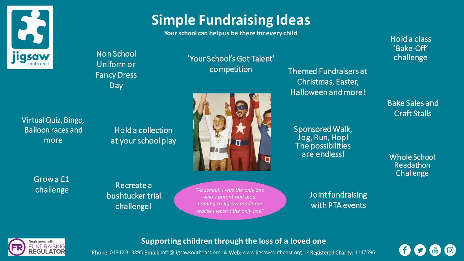

# **Simple Fundraising Ideas**

**Your school can help us be there for every child**

'Your School's Got Talent'

competition

Non School Uniform or Fancy Dress Day

Virtual Quiz, Bingo, Balloon races and more

Hold a collection at your school play



Grow a £1 challenge

Recreate a bushtucker trial challenge!

*"At school, I was the only one who's parent had died. Coming to Jigsaw made me realise I wasn't the only one"*

Themed Fundraisers at Christmas, Easter, Halloween and more!

Sponsored Walk, Jog, Run, Hop! The possibilities are endless!

Hold a class 'Bake-Off' challenge

Bake Sales and Craft Stalls

Whole School Readathon **Challenge** 

Joint fundraising with PTA events

**Registered** with

## **Supporting children through the loss of a loved one**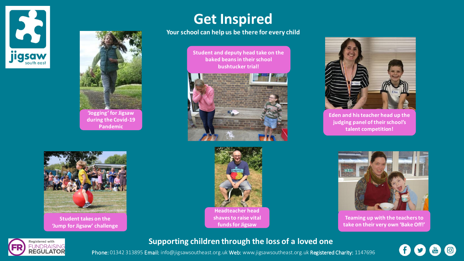



## **Get Inspired**

### **Your school can help us be there for every child**

**Student and deputy head take on the baked beans in their school bushtucker trial!**







**Eden and his teacher head up the judging panel of their school's talent competition!**



**Teaming up with the teachers to take on their very own 'Bake Off!'**



## **Supporting children through the loss of a loved one**

Phone: 01342 313895 Email: info@jigsawsoutheast.org.uk Web: www.jigsawsoutheast.org.uk Registered Charity: 1147696

 $\bigcirc$  $\frac{Y_{01}}{U_{000}}$ 



**Student takes on the 'Jump for Jigsaw' challenge**